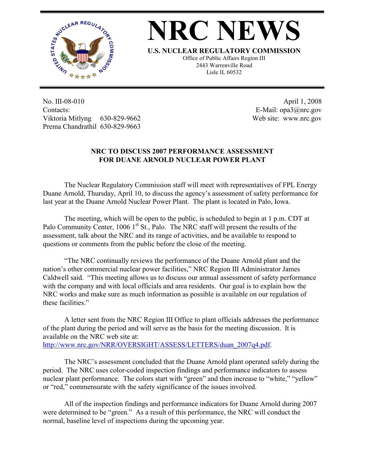

## **NRC NEWS**

**U.S. NUCLEAR REGULATORY COMMISSION**

Office of Public Affairs Region III 2443 Warrenville Road Lisle IL 60532

No. III-08-010 Contacts: Viktoria Mitlyng 630-829-9662 Prema Chandrathil 630-829-9663

 April 1, 2008 E-Mail: opa3@nrc.gov Web site: www.nrc.gov

## **NRC TO DISCUSS 2007 PERFORMANCE ASSESSMENT FOR DUANE ARNOLD NUCLEAR POWER PLANT**

 The Nuclear Regulatory Commission staff will meet with representatives of FPL Energy Duane Arnold, Thursday, April 10, to discuss the agency's assessment of safety performance for last year at the Duane Arnold Nuclear Power Plant. The plant is located in Palo, Iowa.

 The meeting, which will be open to the public, is scheduled to begin at 1 p.m. CDT at Palo Community Center, 1006  $1<sup>st</sup>$  St., Palo. The NRC staff will present the results of the assessment, talk about the NRC and its range of activities, and be available to respond to questions or comments from the public before the close of the meeting.

 "The NRC continually reviews the performance of the Duane Arnold plant and the nation's other commercial nuclear power facilities," NRC Region III Administrator James Caldwell said. "This meeting allows us to discuss our annual assessment of safety performance with the company and with local officials and area residents. Our goal is to explain how the NRC works and make sure as much information as possible is available on our regulation of these facilities."

 A letter sent from the NRC Region III Office to plant officials addresses the performance of the plant during the period and will serve as the basis for the meeting discussion. It is available on the NRC web site at: http://www.nrc.gov/NRR/OVERSIGHT/ASSESS/LETTERS/duan\_2007q4.pdf.

 The NRC's assessment concluded that the Duane Arnold plant operated safely during the period. The NRC uses color-coded inspection findings and performance indicators to assess nuclear plant performance. The colors start with "green" and then increase to "white," "yellow" or "red," commensurate with the safety significance of the issues involved.

 All of the inspection findings and performance indicators for Duane Arnold during 2007 were determined to be "green." As a result of this performance, the NRC will conduct the normal, baseline level of inspections during the upcoming year.